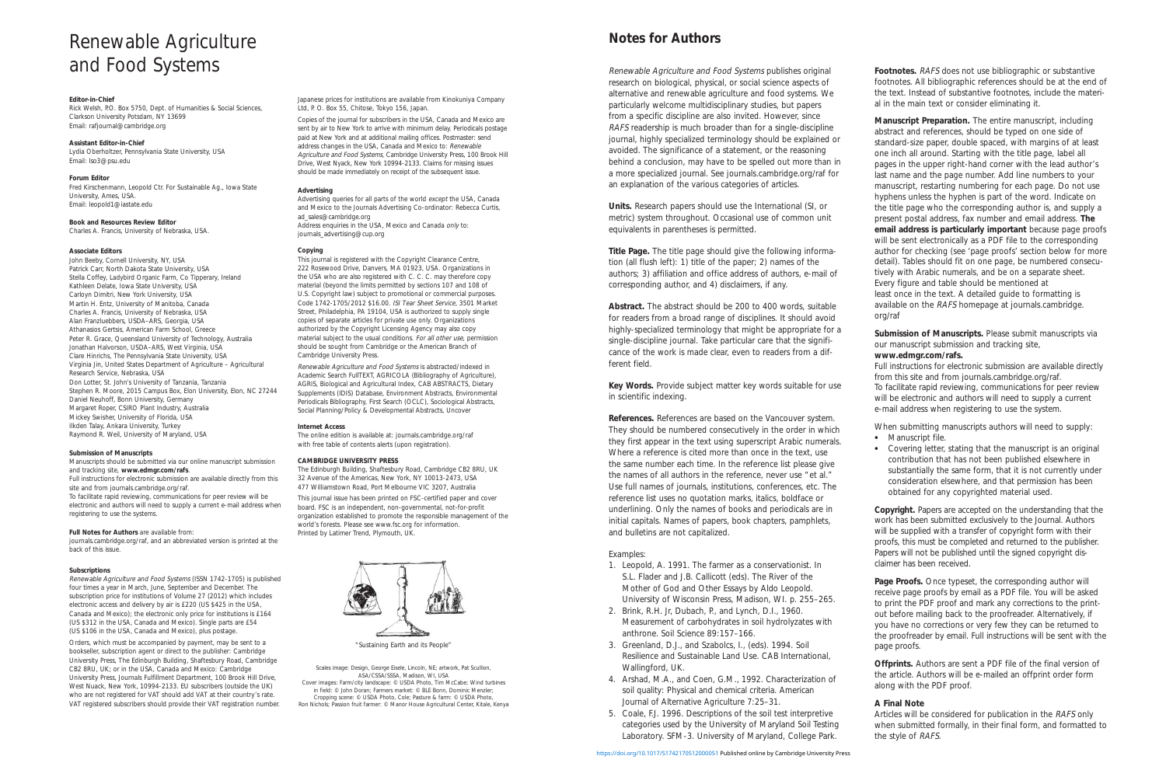# **Notes for Authors**

Renewable Agriculture and Food Systems publishes original research on biological, physical, or social science aspects of alternative and renewable agriculture and food systems. We particularly welcome multidisciplinary studies, but papers from a specific discipline are also invited. However, since RAFS readership is much broader than for a single-discipline journal, highly specialized terminology should be explained or avoided. The significance of a statement, or the reasoning behind a conclusion, may have to be spelled out more than in a more specialized journal. See journals.cambridge.org/raf for an explanation of the various categories of articles.

**Units.** Research papers should use the International (SI, or metric) system throughout. Occasional use of common unit equivalents in parentheses is permitted.

**Title Page.** The title page should give the following information (all flush left): 1) title of the paper; 2) names of the authors; 3) affiliation and office address of authors, e-mail of corresponding author, and 4) disclaimers, if any.

**Abstract.** The abstract should be 200 to 400 words, suitable for readers from a broad range of disciplines. It should avoid highly-specialized terminology that might be appropriate for a single-discipline journal. Take particular care that the significance of the work is made clear, even to readers from a different field.

**Key Words.** Provide subject matter key words suitable for use in scientific indexing.

**References.** References are based on the Vancouver system. They should be numbered consecutively in the order in which they first appear in the text using superscript Arabic numerals. Where a reference is cited more than once in the text, use the same number each time. In the reference list please give the names of all authors in the reference, never use "et al." Use full names of journals, institutions, conferences, etc. The reference list uses no quotation marks, italics, boldface or underlining. Only the names of books and periodicals are in initial capitals. Names of papers, book chapters, pamphlets, and bulletins are not capitalized.

#### Examples:

- 1. Leopold, A. 1991. The farmer as a conservationist. In S.L. Flader and J.B. Callicott (eds). The River of the Mother of God and Other Essays by Aldo Leopold. University of Wisconsin Press, Madison, WI. p. 255–265.
- 2. Brink, R.H. Jr, Dubach, P., and Lynch, D.I., 1960. Measurement of carbohydrates in soil hydrolyzates with anthrone. Soil Science 89:157–166.
- 3. Greenland, D.J., and Szabolcs, I., (eds). 1994. Soil Resilience and Sustainable Land Use. CAB International, Wallingford, UK.
- 4. Arshad, M.A., and Coen, G.M., 1992. Characterization of soil quality: Physical and chemical criteria. American Journal of Alternative Agriculture 7:25–31.
- 5. Coale, F.J. 1996. Descriptions of the soil test interpretive categories used by the University of Maryland Soil Testing Laboratory. SFM-3. University of Maryland, College Park.

**Footnotes.** RAFS does not use bibliographic or substantive footnotes. All bibliographic references should be at the end of the text. Instead of substantive footnotes, include the material in the main text or consider eliminating it.

**Manuscript Preparation.** The entire manuscript, including abstract and references, should be typed on one side of standard-size paper, double spaced, with margins of at least one inch all around. Starting with the title page, label all pages in the upper right-hand corner with the lead author's last name and the page number. Add line numbers to your manuscript, restarting numbering for each page. Do not use hyphens unless the hyphen is part of the word. Indicate on the title page who the corresponding author is, and supply a present postal address, fax number and email address. **The email address is particularly important** because page proofs will be sent electronically as a PDF file to the corresponding author for checking (see 'page proofs' section below for more detail). Tables should fit on one page, be numbered consecutively with Arabic numerals, and be on a separate sheet. Every figure and table should be mentioned at least once in the text. A detailed guide to formatting is available on the RAFS homepage at journals.cambridge. org/raf

**Submission of Manuscripts.** Please submit manuscripts via our manuscript submission and tracking site, **www.edmgr.com/rafs.**

Full instructions for electronic submission are available directly from this site and from journals.cambridge.org/raf. To facilitate rapid reviewing, communications for peer review will be electronic and authors will need to supply a current e-mail address when registering to use the system.

When submitting manuscripts authors will need to supply:

- Manuscript file.
- Covering letter, stating that the manuscript is an original contribution that has not been published elsewhere in substantially the same form, that it is not currently under consideration elsewhere, and that permission has been obtained for any copyrighted material used.

**Copyright.** Papers are accepted on the understanding that the work has been submitted exclusively to the Journal. Authors will be supplied with a transfer of copyright form with their proofs, this must be completed and returned to the publisher. Papers will not be published until the signed copyright disclaimer has been received.

Page Proofs. Once typeset, the corresponding author will receive page proofs by email as a PDF file. You will be asked to print the PDF proof and mark any corrections to the printout before mailing back to the proofreader. Alternatively, if you have no corrections or very few they can be returned to the proofreader by email. Full instructions will be sent with the page proofs.

**Offprints.** Authors are sent a PDF file of the final version of the article. Authors will be e-mailed an offprint order form along with the PDF proof.

## **A Final Note**

Articles will be considered for publication in the RAFS only when submitted formally, in their final form, and formatted to the style of RAFS.